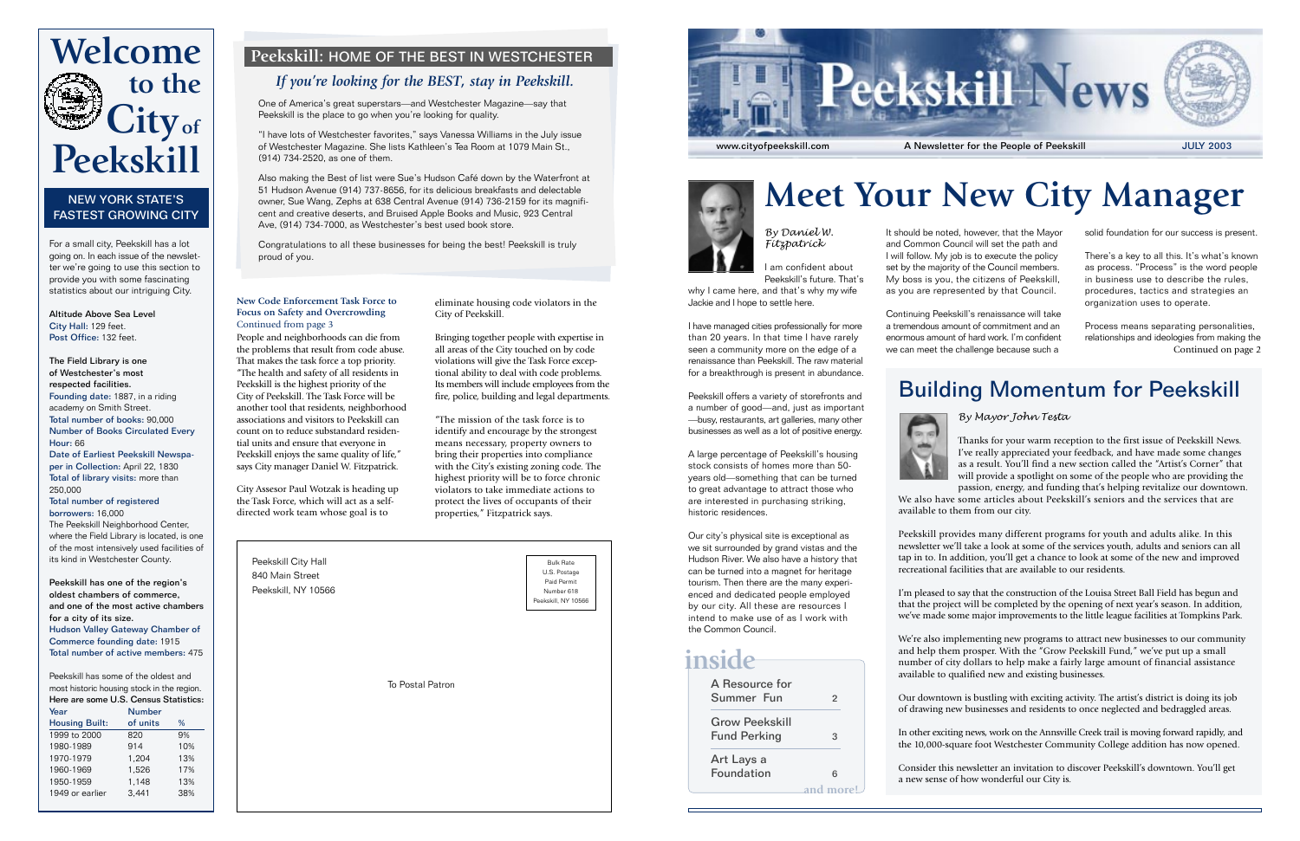



Peekskill City Hall 840 Main Street Peekskill, NY 10566

To Postal Patron

Bulk Rate U.S. Postage Paid Permit Number 618 Peekskill, NY 10566

# **Meet Your New City Manager**

*By Daniel W. Fitzpatrick*

I am confident about Peekskill's future. That's

why I came here, and that's why my wife Jackie and I hope to settle here.

I have managed cities professionally for more than 20 years. In that time I have rarely seen a community more on the edge of a renaissance than Peekskill. The raw material for a breakthrough is present in abundance.

Peekskill offers a variety of storefronts and a number of good—and, just as important —busy, restaurants, art galleries, many other businesses as well as a lot of positive energy.

A large percentage of Peekskill's housing stock consists of homes more than 50 years old—something that can be turned to great advantage to attract those who are interested in purchasing striking, historic residences.

Our city's physical site is exceptional as we sit surrounded by grand vistas and the Hudson River. We also have a history that can be turned into a magnet for heritage tourism. Then there are the many experienced and dedicated people employed by our city. All these are resources I intend to make use of as I work with the Common Council.

#### *By Mayor John Testa*

Thanks for your warm reception to the first issue of Peekskill News. I've really appreciated your feedback, and have made some changes as a result. You'll find a new section called the "Artist's Corner" that will provide a spotlight on some of the people who are providing the passion, energy, and funding that's helping revitalize our downtown. We also have some articles about Peekskill's seniors and the services that are available to them from our city.

Peekskill provides many different programs for youth and adults alike. In this newsletter we'll take a look at some of the services youth, adults and seniors can all tap in to. In addition, you'll get a chance to look at some of the new and improved recreational facilities that are available to our residents.

Source: United States Census borrowers: 16,000 The Peekskill Neighborhood Center, where the Field Library is located, is one of the most intensively used facilities of its kind in Westchester County.

> I'm pleased to say that the construction of the Louisa Street Ball Field has begun and that the project will be completed by the opening of next year's season. In addition, we've made some major improvements to the little league facilities at Tompkins Park.

> We're also implementing new programs to attract new businesses to our community and help them prosper. With the "Grow Peekskill Fund," we've put up a small number of city dollars to help make a fairly large amount of financial assistance available to qualified new and existing businesses.

Our downtown is bustling with exciting activity. The artist's district is doing its job of drawing new businesses and residents to once neglected and bedraggled areas.

In other exciting news, work on the Annsville Creek trail is moving forward rapidly, and the 10,000-square foot Westchester Community College addition has now opened.

Consider this newsletter an invitation to discover Peekskill's downtown. You'll get a new sense of how wonderful our City is.

## Building Momentum for Peekskill

#### NEW YORK STATE'S FASTEST GROWING CITY

For a small city, Peekskill has a lot going on. In each issue of the newsletter we're going to use this section to provide you with some fascinating statistics about our intriguing City.

> Continued on page 2 Process means separating personalities, relationships and ideologies from making the

Altitude Above Sea Level City Hall: 129 feet. Post Office: 132 feet.

The Field Library is one of Westchester's most respected facilities. Founding date: 1887, in a riding academy on Smith Street. Total number of books: 90,000 Number of Books Circulated Every Hour: 66

Date of Earliest Peekskill Newspaper in Collection: April 22, 1830 Total of library visits: more than 250,000

#### Total number of registered



Peekskill has one of the region's oldest chambers of commerce, and one of the most active chambers for a city of its size. Hudson Valley Gateway Chamber of Commerce founding date: 1915 Total number of active members: 475

Peekskill has some of the oldest and most historic housing stock in the region. Here are some U.S. Census Statistics:

| Year                  | <b>Number</b> |     |
|-----------------------|---------------|-----|
| <b>Housing Built:</b> | of units      | %   |
| 1999 to 2000          | 820           | 9%  |
| 1980-1989             | 914           | 10% |
| 1970-1979             | 1.204         | 13% |
| 1960-1969             | 1,526         | 17% |
| 1950-1959             | 1,148         | 13% |
| 1949 or earlier       | 3.441         | 38% |
|                       |               |     |

People and neighborhoods can die from the problems that result from code abuse. That makes the task force a top priority. "The health and safety of all residents in Peekskill is the highest priority of the City of Peekskill. The Task Force will be another tool that residents, neighborhood associations and visitors to Peekskill can count on to reduce substandard residential units and ensure that everyone in Peekskill enjoys the same quality of life," says City manager Daniel W. Fitzpatrick.

City Assesor Paul Wotzak is heading up the Task Force, which will act as a selfdirected work team whose goal is to

**New Code Enforcement Task Force to Focus on Safety and Overcrowding** Continued from page 3

eliminate housing code violators in the City of Peekskill.

Bringing together people with expertise in all areas of the City touched on by code violations will give the Task Force exceptional ability to deal with code problems. Its members will include employees from the fire, police, building and legal departments.

"The mission of the task force is to identify and encourage by the strongest means necessary, property owners to bring their properties into compliance with the City's existing zoning code. The highest priority will be to force chronic violators to take immediate actions to protect the lives of occupants of their properties," Fitzpatrick says.

It should be noted, however, that the Mayor and Common Council will set the path and I will follow. My job is to execute the policy set by the majority of the Council members. My boss is you, the citizens of Peekskill, as you are represented by that Council.

### A Resource for Summer Fun 2 Grow Peekskill Fund Perking 3 Art Lays a Foundation 6 **inside and more!**

Continuing Peekskill's renaissance will take a tremendous amount of commitment and an enormous amount of hard work. I'm confident we can meet the challenge because such a



solid foundation for our success is present.

There's a key to all this. It's what's known as process. "Process" is the word people in business use to describe the rules, procedures, tactics and strategies an organization uses to operate.

### **Peekskill:** HOME OF THE BEST IN WESTCHESTER

### *If you're looking for the BEST, stay in Peekskill.*

One of America's great superstars—and Westchester Magazine—say that Peekskill is the place to go when you're looking for quality.

"I have lots of Westchester favorites," says Vanessa Williams in the July issue of Westchester Magazine. She lists Kathleen's Tea Room at 1079 Main St., (914) 734-2520, as one of them.

Also making the Best of list were Sue's Hudson Café down by the Waterfront at 51 Hudson Avenue (914) 737-8656, for its delicious breakfasts and delectable owner, Sue Wang, Zephs at 638 Central Avenue (914) 736-2159 for its magnificent and creative deserts, and Bruised Apple Books and Music, 923 Central Ave, (914) 734-7000, as Westchester's best used book store.

Congratulations to all these businesses for being the best! Peekskill is truly proud of you.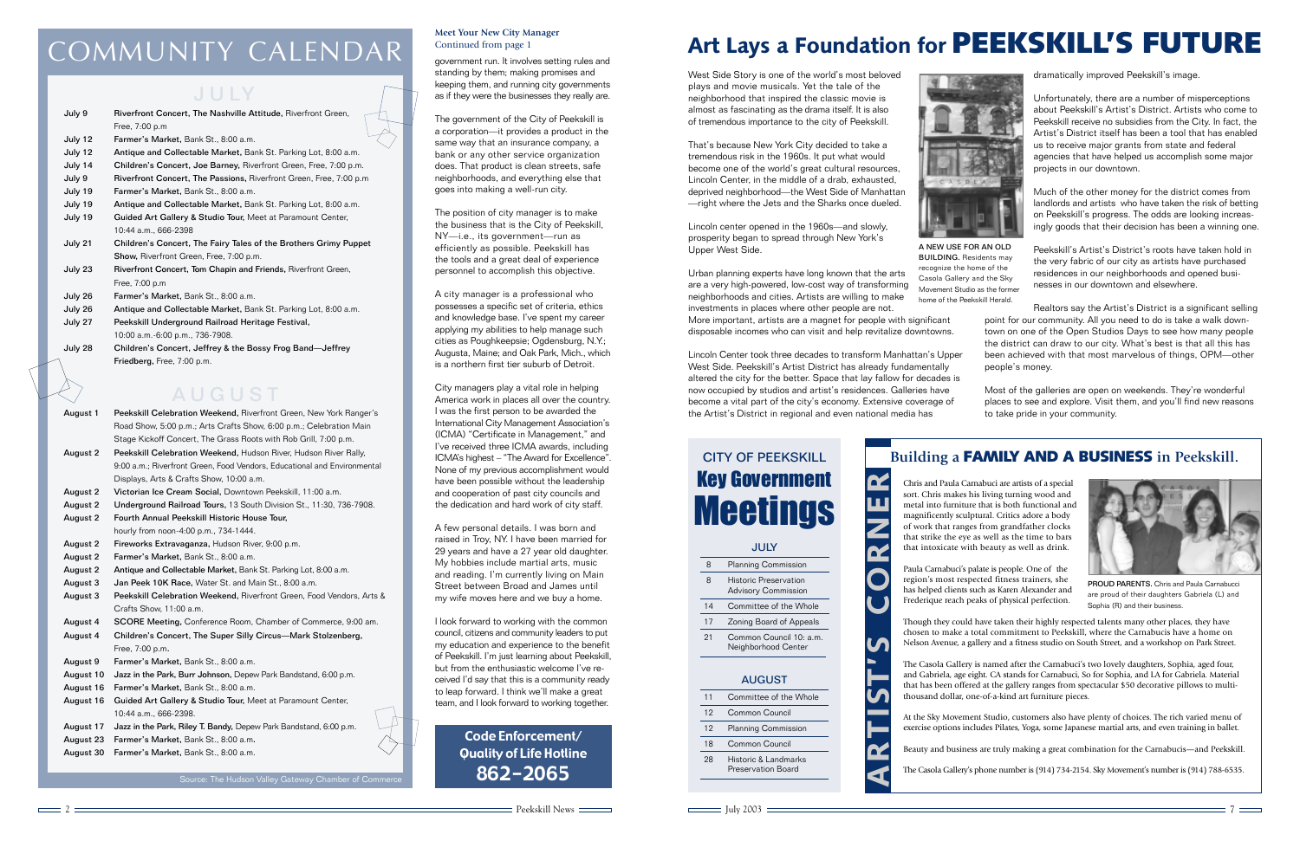# COMMUNITY CALENDAR

2

West Side Story is one of the world's most beloved plays and movie musicals. Yet the tale of the neighborhood that inspired the classic movie is almost as fascinating as the drama itself. It is also of tremendous importance to the city of Peekskill.

That's because New York City decided to take a tremendous risk in the 1960s. It put what would become one of the world's great cultural resources, Lincoln Center, in the middle of a drab, exhausted, deprived neighborhood—the West Side of Manhattan —right where the Jets and the Sharks once dueled.

Lincoln center opened in the 1960s—and slowly, prosperity began to spread through New York's Upper West Side.

Urban planning experts have long known that the arts are a very high-powered, low-cost way of transforming neighborhoods and cities. Artists are willing to make investments in places where other people are not.

More important, artists are a magnet for people with significant disposable incomes who can visit and help revitalize downtowns.

Lincoln Center took three decades to transform Manhattan's Upper West Side. Peekskill's Artist District has already fundamentally altered the city for the better. Space that lay fallow for decades is now occupied by studios and artist's residences. Galleries have become a vital part of the city's economy. Extensive coverage of the Artist's District in regional and even national media has

July 2003 7

# **Art Lays a Foundation for PEEKSKILL'S FUTURE**

| July 9  | Riverfront Concert, The Nashville Attitude, Riverfront Green,       |
|---------|---------------------------------------------------------------------|
|         | Free, 7:00 p.m                                                      |
| July 12 | Farmer's Market, Bank St., 8:00 a.m.                                |
| July 12 | Antique and Collectable Market, Bank St. Parking Lot, 8:00 a.m.     |
| July 14 | Children's Concert, Joe Barney, Riverfront Green, Free, 7:00 p.m.   |
| July 9  | Riverfront Concert, The Passions, Riverfront Green, Free, 7:00 p.m. |
| July 19 | Farmer's Market, Bank St., 8:00 a.m.                                |
| July 19 | Antique and Collectable Market, Bank St. Parking Lot, 8:00 a.m.     |
| July 19 | Guided Art Gallery & Studio Tour, Meet at Paramount Center,         |
|         | 10:44 a.m., 666-2398                                                |
| July 21 | Children's Concert, The Fairy Tales of the Brothers Grimy Puppet    |
|         | Show, Riverfront Green, Free, 7:00 p.m.                             |
| July 23 | Riverfront Concert, Tom Chapin and Friends, Riverfront Green,       |
|         | Free, 7:00 p.m                                                      |
| July 26 | Farmer's Market, Bank St., 8:00 a.m.                                |
| July 26 | Antique and Collectable Market, Bank St. Parking Lot, 8:00 a.m.     |
| July 27 | Peekskill Underground Railroad Heritage Festival,                   |
|         | 10:00 a.m.-6:00 p.m., 736-7908.                                     |
| July 28 | Children's Concert, Jeffrey & the Bossy Frog Band—Jeffrey           |
|         | Friedberg, Free, 7:00 p.m.                                          |

### **AUGUST**

| August 1  | Peekskill Celebration Weekend, Riverfront Green, New York Ranger's       |  |  |
|-----------|--------------------------------------------------------------------------|--|--|
|           | Road Show, 5:00 p.m.; Arts Crafts Show, 6:00 p.m.; Celebration Main      |  |  |
|           | Stage Kickoff Concert, The Grass Roots with Rob Grill, 7:00 p.m.         |  |  |
| August 2  | Peekskill Celebration Weekend, Hudson River, Hudson River Rally,         |  |  |
|           | 9:00 a.m.; Riverfront Green, Food Vendors, Educational and Environmental |  |  |
|           | Displays, Arts & Crafts Show, 10:00 a.m.                                 |  |  |
| August 2  | Victorian Ice Cream Social, Downtown Peekskill, 11:00 a.m.               |  |  |
| August 2  | Underground Railroad Tours, 13 South Division St., 11:30, 736-7908.      |  |  |
| August 2  | Fourth Annual Peekskill Historic House Tour.                             |  |  |
|           | hourly from noon-4:00 p.m., 734-1444.                                    |  |  |
| August 2  | Fireworks Extravaganza, Hudson River, 9:00 p.m.                          |  |  |
| August 2  | Farmer's Market, Bank St., 8:00 a.m.                                     |  |  |
| August 2  | Antique and Collectable Market, Bank St. Parking Lot, 8:00 a.m.          |  |  |
| August 3  | Jan Peek 10K Race, Water St. and Main St., 8:00 a.m.                     |  |  |
| August 3  | Peekskill Celebration Weekend, Riverfront Green, Food Vendors, Arts &    |  |  |
|           | Crafts Show, 11:00 a.m.                                                  |  |  |
| August 4  | SCORE Meeting, Conference Room, Chamber of Commerce, 9:00 am.            |  |  |
| August 4  | Children's Concert, The Super Silly Circus-Mark Stolzenberg,             |  |  |
|           | Free, 7:00 p.m.                                                          |  |  |
| August 9  | Farmer's Market, Bank St., 8:00 a.m.                                     |  |  |
| August 10 | Jazz in the Park, Burr Johnson, Depew Park Bandstand, 6:00 p.m.          |  |  |
| August 16 | Farmer's Market, Bank St., 8:00 a.m.                                     |  |  |
| August 16 | Guided Art Gallery & Studio Tour, Meet at Paramount Center,              |  |  |
|           | 10:44 a.m., 666-2398.                                                    |  |  |
| August 17 | Jazz in the Park, Riley T. Bandy, Depew Park Bandstand, 6:00 p.m.        |  |  |
| August 23 | Farmer's Market, Bank St., 8:00 a.m.                                     |  |  |
| August 30 | Farmer's Market, Bank St., 8:00 a.m.                                     |  |  |
|           |                                                                          |  |  |

# CITY OF PEEKSKILL Key Government **Meetings**

# **JULY**

#### **Meet Your New City Manager** Continued from page 1

### J U LY

8 Planning Commission 8 Historic Preservation Advisory Commission

14 Committee of the Whole

17 Zoning Board of Appeals 21 Common Council 10: a.m. Neighborhood Center

#### AUGUST

| 11 | Committee of the Whole                     |
|----|--------------------------------------------|
| 12 | Common Council                             |
| 12 | <b>Planning Commission</b>                 |
| 18 | Common Council                             |
| 28 | Historic & Landmarks<br>Preservation Board |
|    |                                            |



 $\mathbf{\alpha}$ 



A NEW USE FOR AN OLD BUILDING. Residents may recognize the home of the Casola Gallery and the Sky Movement Studio as the former home of the Peekskill Herald.

Chris and Paula Carnabuci are artists of a special sort. Chris makes his living turning wood and metal into furniture that is both functional and magnificently sculptural. Critics adore a body of work that ranges from grandfather clocks that strike the eye as well as the time to bars that intoxicate with beauty as well as drink.

Paula Carnabuci's palate is people. One of the region's most respected fitness trainers, she has helped clients such as Karen Alexander and Frederique reach peaks of physical perfection.

Though they could have taken their highly respected talents many other places, they have chosen to make a total commitment to Peekskill, where the Carnabucis have a home on Nelson Avenue, a gallery and a fitness studio on South Street, and a workshop on Park Street.

The Casola Gallery is named after the Carnabuci's two lovely daughters, Sophia, aged four, and Gabriela, age eight. CA stands for Carnabuci, So for Sophia, and LA for Gabriela. Material that has been offered at the gallery ranges from spectacular \$50 decorative pillows to multithousand dollar, one-of-a-kind art furniture pieces.

At the Sky Movement Studio, customers also have plenty of choices. The rich varied menu of exercise options includes Pilates, Yoga, some Japanese martial arts, and even training in ballet.

Beauty and business are truly making a great combination for the Carnabucis—and Peekskill.

The Casola Gallery's phone number is (914) 734-2154. Sky Movement's number is (914) 788-6535.

dramatically improved Peekskill's image.

Unfortunately, there are a number of misperceptions about Peekskill's Artist's District. Artists who come to Peekskill receive no subsidies from the City. In fact, the Artist's District itself has been a tool that has enabled us to receive major grants from state and federal agencies that have helped us accomplish some major projects in our downtown.

Much of the other money for the district comes from landlords and artists who have taken the risk of betting on Peekskill's progress. The odds are looking increasingly goods that their decision has been a winning one.

Peekskill's Artist's District's roots have taken hold in the very fabric of our city as artists have purchased residences in our neighborhoods and opened businesses in our downtown and elsewhere.

Realtors say the Artist's District is a significant selling point for our community. All you need to do is take a walk downtown on one of the Open Studios Days to see how many people the district can draw to our city. What's best is that all this has been achieved with that most marvelous of things, OPM—other people's money.

Most of the galleries are open on weekends. They're wonderful places to see and explore. Visit them, and you'll find new reasons to take pride in your community.

### **Building a FAMILY AND A BUSINESS in Peekskill.**

| ľ                    |   |
|----------------------|---|
|                      |   |
|                      |   |
|                      |   |
| $\ddot{\phantom{a}}$ | I |
|                      | I |
| $\ddot{\phantom{a}}$ |   |
|                      |   |
|                      |   |
| ֚֚֚֬                 |   |
|                      |   |
|                      |   |
| ֘֒                   |   |
| ĺ                    |   |



PROUD PARENTS. Chris and Paula Carnabucci are proud of their daughters Gabriela (L) and Sophia (R) and their business.

government run. It involves setting rules and standing by them; making promises and keeping them, and running city governments as if they were the businesses they really are.

The government of the City of Peekskill is a corporation—it provides a product in the same way that an insurance company, a bank or any other service organization does. That product is clean streets, safe neighborhoods, and everything else that goes into making a well-run city.

The position of city manager is to make the business that is the City of Peekskill, NY—i.e., its government—run as efficiently as possible. Peekskill has the tools and a great deal of experience personnel to accomplish this objective.

A city manager is a professional who possesses a specific set of criteria, ethics and knowledge base. I've spent my career applying my abilities to help manage such cities as Poughkeepsie; Ogdensburg, N.Y.; Augusta, Maine; and Oak Park, Mich., which is a northern first tier suburb of Detroit.

City managers play a vital role in helping America work in places all over the country. I was the first person to be awarded the International City Management Association's (ICMA) "Certificate in Management," and I've received three ICMA awards, including ICMA's highest – "The Award for Excellence". None of my previous accomplishment would have been possible without the leadership and cooperation of past city councils and the dedication and hard work of city staff.

A few personal details. I was born and raised in Troy, NY. I have been married for 29 years and have a 27 year old daughter. My hobbies include martial arts, music and reading. I'm currently living on Main Street between Broad and James until my wife moves here and we buy a home.

I look forward to working with the common council, citizens and community leaders to put my education and experience to the benefit of Peekskill. I'm just learning about Peekskill, but from the enthusiastic welcome I've received I'd say that this is a community ready to leap forward. I think we'll make a great team, and I look forward to working together.

> Code Enforcement/ Quality of Life Hotline 862-2065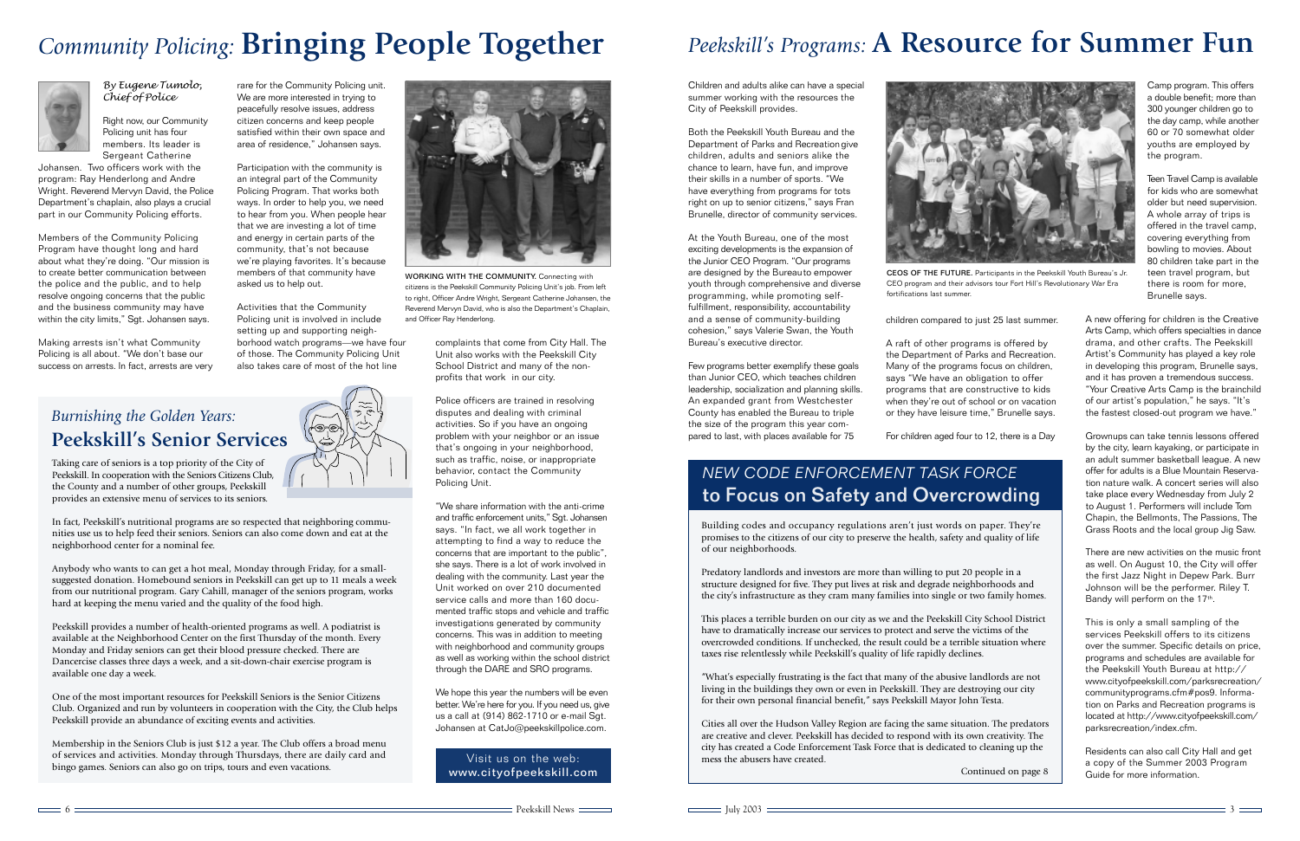# *Community Policing:* **Bringing People Together**





*By Eugene Tumolo, Chief of Police*

Right now, our Community Policing unit has four members. Its leader is Sergeant Catherine

Johansen. Two officers work with the program: Ray Henderlong and Andre Wright. Reverend Mervyn David, the Police Department's chaplain, also plays a crucial part in our Community Policing efforts.

Members of the Community Policing Program have thought long and hard about what they're doing. "Our mission is to create better communication between the police and the public, and to help resolve ongoing concerns that the public and the business community may have within the city limits," Sgt. Johansen says.

Making arrests isn't what Community Policing is all about. "We don't base our success on arrests. In fact, arrests are very

rare for the Community Policing unit. We are more interested in trying to peacefully resolve issues, address citizen concerns and keep people satisfied within their own space and area of residence," Johansen says.

Participation with the community is an integral part of the Community Policing Program. That works both ways. In order to help you, we need to hear from you. When people hear that we are investing a lot of time and energy in certain parts of the community, that's not because we're playing favorites. It's because members of that community have asked us to help out.

> We hope this year the numbers will be even better. We're here for you. If you need us, give us a call at (914) 862-1710 or e-mail Sgt. Johansen at CatJo@peekskillpolice.com.

Activities that the Community Policing unit is involved in include setting up and supporting neighborhood watch programs—we have four of those. The Community Policing Unit also takes care of most of the hot line

complaints that come from City Hall. The Unit also works with the Peekskill City School District and many of the nonprofits that work in our city.

Police officers are trained in resolving disputes and dealing with criminal activities. So if you have an ongoing problem with your neighbor or an issue that's ongoing in your neighborhood, such as traffic, noise, or inappropriate behavior, contact the Community Policing Unit.

"We share information with the anti-crime and traffic enforcement units," Sgt. Johansen says. "In fact, we all work together in attempting to find a way to reduce the concerns that are important to the public", she says. There is a lot of work involved in dealing with the community. Last year the Unit worked on over 210 documented service calls and more than 160 documented traffic stops and vehicle and traffic investigations generated by community concerns. This was in addition to meeting with neighborhood and community groups as well as working within the school district through the DARE and SRO programs.

Building codes and occupancy regulations aren't just words on paper. They're promises to the citizens of our city to preserve the health, safety and quality of life of our neighborhoods.

Predatory landlords and investors are more than willing to put 20 people in a structure designed for five. They put lives at risk and degrade neighborhoods and the city's infrastructure as they cram many families into single or two family homes.

This places a terrible burden on our city as we and the Peekskill City School District have to dramatically increase our services to protect and serve the victims of the overcrowded conditions. If unchecked, the result could be a terrible situation where taxes rise relentlessly while Peekskill's quality of life rapidly declines.

There are new activities on the music front as well. On August 10, the City will offer the first Jazz Night in Depew Park. Burr Johnson will be the performer. Riley T. Bandy will perform on the 17<sup>th</sup>.

"What's especially frustrating is the fact that many of the abusive landlords are not living in the buildings they own or even in Peekskill. They are destroying our city for their own personal financial benefit," says Peekskill Mayor John Testa.

Cities all over the Hudson Valley Region are facing the same situation. The predators are creative and clever. Peekskill has decided to respond with its own creativity. The city has created a Code Enforcement Task Force that is dedicated to cleaning up the mess the abusers have created.

Children and adults alike can have a special summer working with the resources the City of Peekskill provides.

Both the Peekskill Youth Bureau and the Department of Parks and Recreation give children, adults and seniors alike the chance to learn, have fun, and improve their skills in a number of sports. "We have everything from programs for tots right on up to senior citizens," says Fran Brunelle, director of community services.

At the Youth Bureau, one of the most exciting developments is the expansion of the Junior CEO Program. "Our programs are designed by the Bureauto empower youth through comprehensive and diverse programming, while promoting selffulfillment, responsibility, accountability and a sense of community-building cohesion," says Valerie Swan, the Youth Bureau's executive director.

Few programs better exemplify these goals than Junior CEO, which teaches children leadership, socialization and planning skills. An expanded grant from Westchester County has enabled the Bureau to triple the size of the program this year compared to last, with places available for 75

# *Peekskill's Programs:* **A Resource for Summer Fun**

## *Burnishing the Golden Years:* **Peekskill's Senior Services**

WORKING WITH THE COMMUNITY. Connecting with citizens is the Peekskill Community Policing Unit's job. From left to right, Officer Andre Wright, Sergeant Catherine Johansen, the Reverend Mervyn David, who is also the Department's Chaplain, and Officer Ray Henderlong.



CEOS OF THE FUTURE. Participants in the Peekskill Youth Bureau's Jr. CEO program and their advisors tour Fort Hill's Revolutionary War Era

fortifications last summer.

children compared to just 25 last summer.

A raft of other programs is offered by the Department of Parks and Recreation. Many of the programs focus on children, says "We have an obligation to offer programs that are constructive to kids when they're out of school or on vacation or they have leisure time," Brunelle says.

For children aged four to 12, there is a Day

Camp program. This offers a double benefit; more than 300 younger children go to the day camp, while another 60 or 70 somewhat older youths are employed by the program.

Teen Travel Camp is available for kids who are somewhat older but need supervision. A whole array of trips is offered in the travel camp, covering everything from bowling to movies. About 80 children take part in the teen travel program, but there is room for more, Brunelle says.

A new offering for children is the Creative Arts Camp, which offers specialties in dance drama, and other crafts. The Peekskill Artist's Community has played a key role in developing this program, Brunelle says, and it has proven a tremendous success. "Your Creative Arts Camp is the brainchild of our artist's population," he says. "It's the fastest closed-out program we have."

Grownups can take tennis lessons offered by the city, learn kayaking, or participate in an adult summer basketball league. A new offer for adults is a Blue Mountain Reservation nature walk. A concert series will also take place every Wednesday from July 2 to August 1. Performers will include Tom Chapin, the Bellmonts, The Passions, The Grass Roots and the local group Jig Saw.

This is only a small sampling of the services Peekskill offers to its citizens over the summer. Specific details on price, programs and schedules are available for the Peekskill Youth Bureau at http:// www.cityofpeekskill.com/parksrecreation/ communityprograms.cfm#pos9. Information on Parks and Recreation programs is located at http://www.cityofpeekskill.com/ parksrecreation/index.cfm.

Residents can also call City Hall and get a copy of the Summer 2003 Program Guide for more information.

## *NEW CODE ENFORCEMENT TASK FORCE* to Focus on Safety and Overcrowding

Continued on page 8

Taking care of seniors is a top priority of the City of Peekskill. In cooperation with the Seniors Citizens Club, the County and a number of other groups, Peekskill provides an extensive menu of services to its seniors.

In fact, Peekskill's nutritional programs are so respected that neighboring communities use us to help feed their seniors. Seniors can also come down and eat at the neighborhood center for a nominal fee.

Anybody who wants to can get a hot meal, Monday through Friday, for a smallsuggested donation. Homebound seniors in Peekskill can get up to 11 meals a week from our nutritional program. Gary Cahill, manager of the seniors program, works hard at keeping the menu varied and the quality of the food high.

Peekskill provides a number of health-oriented programs as well. A podiatrist is available at the Neighborhood Center on the first Thursday of the month. Every Monday and Friday seniors can get their blood pressure checked. There are Dancercise classes three days a week, and a sit-down-chair exercise program is available one day a week.

One of the most important resources for Peekskill Seniors is the Senior Citizens Club. Organized and run by volunteers in cooperation with the City, the Club helps Peekskill provide an abundance of exciting events and activities.

Membership in the Seniors Club is just \$12 a year. The Club offers a broad menu of services and activities. Monday through Thursdays, there are daily card and bingo games. Seniors can also go on trips, tours and even vacations.



Visit us on the web: www.cityofpeekskill.com